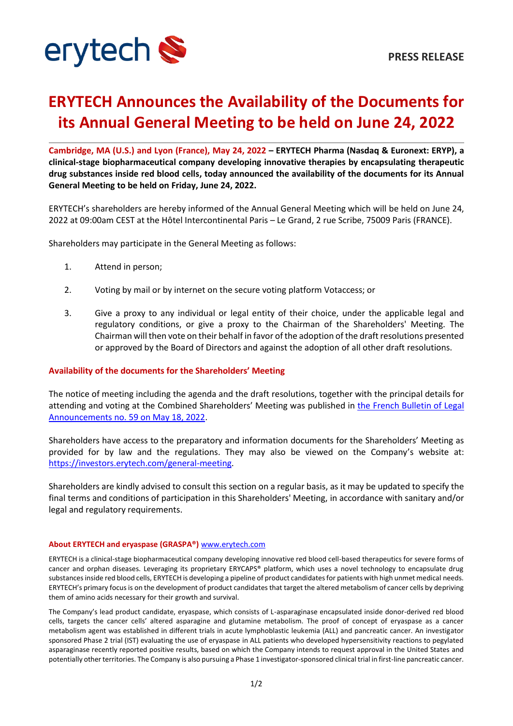

## **ERYTECH Announces the Availability of the Documents for its Annual General Meeting to be held on June 24, 2022**

**Cambridge, MA (U.S.) and Lyon (France), May 24, 2022 – ERYTECH Pharma (Nasdaq & Euronext: ERYP), a clinical-stage biopharmaceutical company developing innovative therapies by encapsulating therapeutic drug substances inside red blood cells, today announced the availability of the documents for its Annual General Meeting to be held on Friday, June 24, 2022.**

ERYTECH's shareholders are hereby informed of the Annual General Meeting which will be held on June 24, 2022 at 09:00am CEST at the Hôtel Intercontinental Paris – Le Grand, 2 rue Scribe, 75009 Paris (FRANCE).

Shareholders may participate in the General Meeting as follows:

- 1. Attend in person;
- 2. Voting by mail or by internet on the secure voting platform Votaccess; or
- 3. Give a proxy to any individual or legal entity of their choice, under the applicable legal and regulatory conditions, or give a proxy to the Chairman of the Shareholders' Meeting. The Chairman will then vote on their behalf in favor of the adoption of the draft resolutions presented or approved by the Board of Directors and against the adoption of all other draft resolutions.

## **Availability of the documents for the Shareholders' Meeting**

The notice of meeting including the agenda and the draft resolutions, together with the principal details for attending and voting at the Combined Shareholders' Meeting was published in [the French Bulletin of Legal](https://fr.ftp.opendatasoft.com/datadila/JO/BALO/pdf/2022/0518/202205182201825.pdf)  [Announcements no. 59](https://fr.ftp.opendatasoft.com/datadila/JO/BALO/pdf/2022/0518/202205182201825.pdf) on May 18, 2022.

Shareholders have access to the preparatory and information documents for the Shareholders' Meeting as provided for by law and the regulations. They may also be viewed on the Company's website at: [https://investors.erytech.com/general-meeting.](https://investors.erytech.com/general-meeting)

Shareholders are kindly advised to consult this section on a regular basis, as it may be updated to specify the final terms and conditions of participation in this Shareholders' Meeting, in accordance with sanitary and/or legal and regulatory requirements.

## **About ERYTECH and eryaspase (GRASPA®)** [www.erytech.com](http://www.erytech.com/)

ERYTECH is a clinical-stage biopharmaceutical company developing innovative red blood cell-based therapeutics for severe forms of cancer and orphan diseases. Leveraging its proprietary ERYCAPS® platform, which uses a novel technology to encapsulate drug substances inside red blood cells, ERYTECH is developing a pipeline of product candidates for patients with high unmet medical needs. ERYTECH's primary focus is on the development of product candidates that target the altered metabolism of cancer cells by depriving them of amino acids necessary for their growth and survival.

The Company's lead product candidate, eryaspase, which consists of L-asparaginase encapsulated inside donor-derived red blood cells, targets the cancer cells' altered asparagine and glutamine metabolism. The proof of concept of eryaspase as a cancer metabolism agent was established in different trials in acute lymphoblastic leukemia (ALL) and pancreatic cancer. An investigator sponsored Phase 2 trial (IST) evaluating the use of eryaspase in ALL patients who developed hypersensitivity reactions to pegylated asparaginase recently reported positive results, based on which the Company intends to request approval in the United States and potentially other territories. The Company is also pursuing a Phase 1 investigator-sponsored clinical trial in first-line pancreatic cancer.